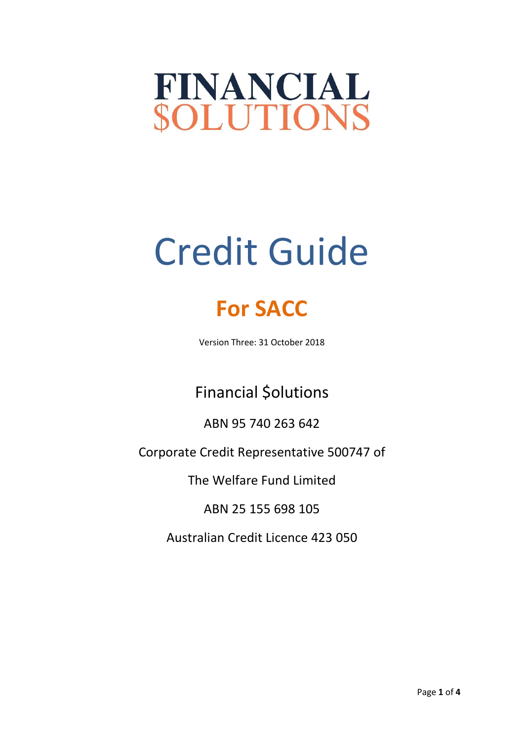## FINANCIAL **SOLUTIONS**

# Credit Guide

### **For SACC**

Version Three: 31 October 2018

Financial \$olutions

ABN 95 740 263 642

Corporate Credit Representative 500747 of

The Welfare Fund Limited

ABN 25 155 698 105

Australian Credit Licence 423 050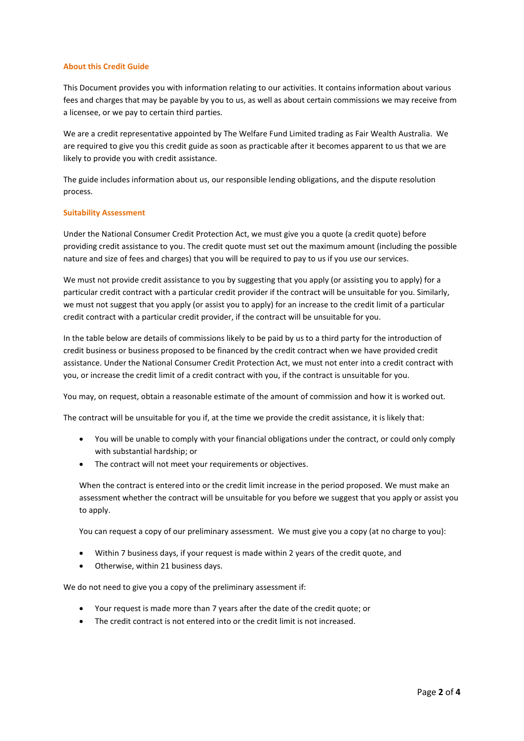#### **About this Credit Guide**

This Document provides you with information relating to our activities. It contains information about various fees and charges that may be payable by you to us, as well as about certain commissions we may receive from a licensee, or we pay to certain third parties.

We are a credit representative appointed by The Welfare Fund Limited trading as Fair Wealth Australia. We are required to give you this credit guide as soon as practicable after it becomes apparent to us that we are likely to provide you with credit assistance.

The guide includes information about us, our responsible lending obligations, and the dispute resolution process.

#### **Suitability Assessment**

Under the National Consumer Credit Protection Act, we must give you a quote (a credit quote) before providing credit assistance to you. The credit quote must set out the maximum amount (including the possible nature and size of fees and charges) that you will be required to pay to us if you use our services.

We must not provide credit assistance to you by suggesting that you apply (or assisting you to apply) for a particular credit contract with a particular credit provider if the contract will be unsuitable for you. Similarly, we must not suggest that you apply (or assist you to apply) for an increase to the credit limit of a particular credit contract with a particular credit provider, if the contract will be unsuitable for you.

In the table below are details of commissions likely to be paid by us to a third party for the introduction of credit business or business proposed to be financed by the credit contract when we have provided credit assistance. Under the National Consumer Credit Protection Act, we must not enter into a credit contract with you, or increase the credit limit of a credit contract with you, if the contract is unsuitable for you.

You may, on request, obtain a reasonable estimate of the amount of commission and how it is worked out.

The contract will be unsuitable for you if, at the time we provide the credit assistance, it is likely that:

- You will be unable to comply with your financial obligations under the contract, or could only comply with substantial hardship; or
- The contract will not meet your requirements or objectives.

When the contract is entered into or the credit limit increase in the period proposed. We must make an assessment whether the contract will be unsuitable for you before we suggest that you apply or assist you to apply.

You can request a copy of our preliminary assessment. We must give you a copy (at no charge to you):

- Within 7 business days, if your request is made within 2 years of the credit quote, and
- Otherwise, within 21 business days.

We do not need to give you a copy of the preliminary assessment if:

- Your request is made more than 7 years after the date of the credit quote; or
- The credit contract is not entered into or the credit limit is not increased.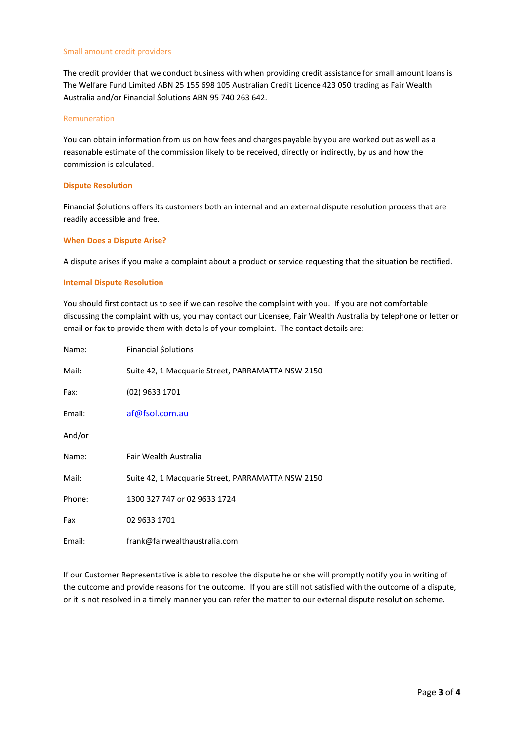#### Small amount credit providers

The credit provider that we conduct business with when providing credit assistance for small amount loans is The Welfare Fund Limited ABN 25 155 698 105 Australian Credit Licence 423 050 trading as Fair Wealth Australia and/or Financial \$olutions ABN 95 740 263 642.

#### Remuneration

You can obtain information from us on how fees and charges payable by you are worked out as well as a reasonable estimate of the commission likely to be received, directly or indirectly, by us and how the commission is calculated.

#### **Dispute Resolution**

Financial \$olutions offers its customers both an internal and an external dispute resolution process that are readily accessible and free.

#### **When Does a Dispute Arise?**

A dispute arises if you make a complaint about a product or service requesting that the situation be rectified.

#### **Internal Dispute Resolution**

You should first contact us to see if we can resolve the complaint with you. If you are not comfortable discussing the complaint with us, you may contact our Licensee, Fair Wealth Australia by telephone or letter or email or fax to provide them with details of your complaint. The contact details are:

| Name:  | <b>Financial Solutions</b>                        |
|--------|---------------------------------------------------|
| Mail:  | Suite 42, 1 Macquarie Street, PARRAMATTA NSW 2150 |
| Fax:   | (02) 9633 1701                                    |
| Email: | af@fsol.com.au                                    |
| And/or |                                                   |
| Name:  | Fair Wealth Australia                             |
| Mail:  | Suite 42, 1 Macquarie Street, PARRAMATTA NSW 2150 |
| Phone: | 1300 327 747 or 02 9633 1724                      |
| Fax    | 02 9633 1701                                      |
| Email: | frank@fairwealthaustralia.com                     |

If our Customer Representative is able to resolve the dispute he or she will promptly notify you in writing of the outcome and provide reasons for the outcome. If you are still not satisfied with the outcome of a dispute, or it is not resolved in a timely manner you can refer the matter to our external dispute resolution scheme.